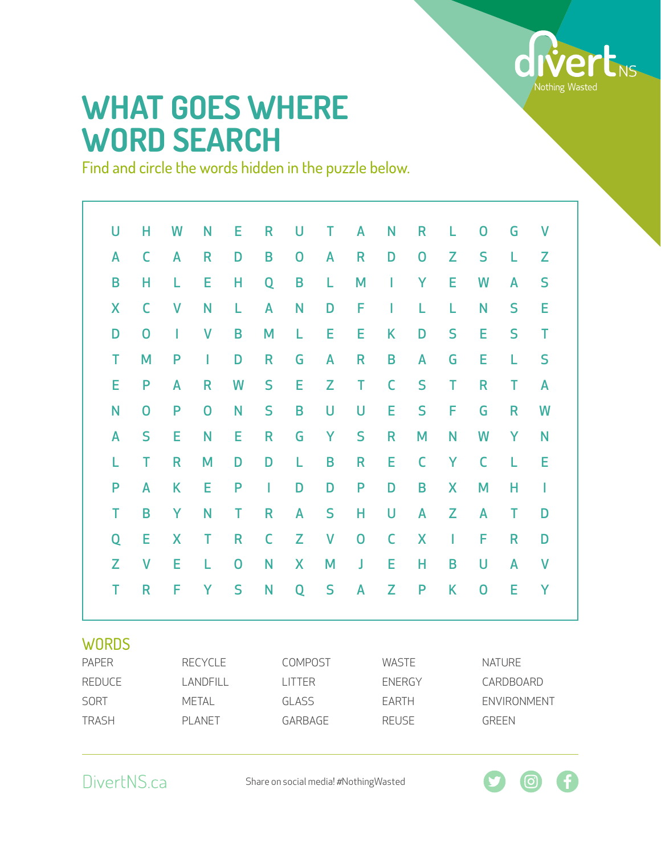

## **WHAT GOES WHERE WORD SEARCH**

Find and circle the words hidden in the puzzle below.

| U                           | Н            | W              | N              | E | R             | U              | T            | A             | N            | R              | L           | $\overline{0}$ | G            | $\mathsf{V}$ |  |  |
|-----------------------------|--------------|----------------|----------------|---|---------------|----------------|--------------|---------------|--------------|----------------|-------------|----------------|--------------|--------------|--|--|
| A                           | C            | A              | R              | D | B             | $\mathbf 0$    | A            | R             | D            | $\overline{0}$ | Z           | S              | L            | Z            |  |  |
| B                           | н            | L              | Е              | Н | Q             | B              | L            | M             | I            | Y              | E           | W              | A            | S            |  |  |
| X                           | C            | V              | N              | L | A             | N              | D            | F             | I            | L              | L           | N              | S            | E            |  |  |
| D                           | $\mathbf 0$  | I              | V              | B | M             | L              | E            | E             | K            | D              | S           | E              | S            | T            |  |  |
| T                           | M            | P              |                | D | R             | G              | A            | R             | B            | A              | G           | E              | L            | S            |  |  |
| E                           | P            | A              | R              | W | S             | E              | Z            | Τ             | C            | S              | Т           | R              | Т            | A            |  |  |
| N                           | 0            | P              | $\overline{0}$ | N | S             | B              | U            | U             | Е            | S              | F           | G              | R            | W            |  |  |
| A                           | S            | Е              | N              | E | R             | G              | Y            | S             | R            | M              | N           | W              | Y            | N            |  |  |
| L                           | T            | R              | M              | D | D             | L              | B            | R             | E            | C              | Y           | $\mathsf C$    | L            | E            |  |  |
| P                           | A            | K              | E              | P | I             | D              | D            | P             | D            | B              | X           | M              | Н            | I            |  |  |
| T                           | B            | Y              | N              | T | R             | A              | S            | Н             | U            | A              | Z           | A              | T            | D            |  |  |
| Q                           | E            | X              | T              | R | C             | Z              | $\mathsf{V}$ | $\mathbf 0$   | $\mathsf C$  | X              | I           | F              | R            | D            |  |  |
| Z                           | $\mathsf{V}$ | E              | L              | 0 | N             | X              | M            | J             | E            | Н              | B           | U              | A            | $\mathsf{V}$ |  |  |
| T                           | R            | F              | Y              | S | N             | Q              | S            | A             | Z            | P              | K           | $\overline{0}$ | E            | Υ            |  |  |
| <b>WORDS</b>                |              |                |                |   |               |                |              |               |              |                |             |                |              |              |  |  |
| <b>PAPER</b>                |              | <b>RECYCLE</b> |                |   |               | <b>COMPOST</b> |              |               | <b>WASTE</b> |                |             | <b>NATURE</b>  |              |              |  |  |
| <b>REDUCE</b>               | LANDFILL     |                |                |   | <b>LITTER</b> |                |              | <b>ENERGY</b> |              |                | CARDBOARD   |                |              |              |  |  |
| <b>SORT</b><br><b>METAL</b> |              |                |                |   | <b>GLASS</b>  |                | <b>EARTH</b> |               |              |                | ENVIRONMENT |                |              |              |  |  |
| <b>TRASH</b>                |              | <b>PLANET</b>  |                |   |               | GARBAGE        |              |               | <b>REUSE</b> |                |             |                | <b>GREEN</b> |              |  |  |

DivertNS.ca

Share on social media! #NothingWasted